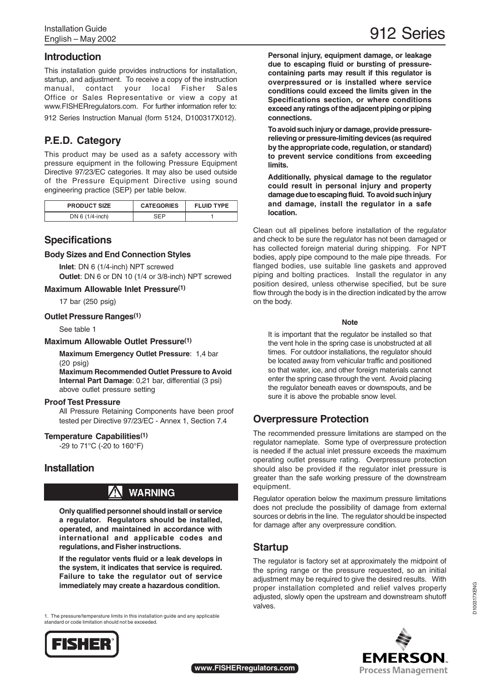## **Introduction**

This installation guide provides instructions for installation, startup, and adjustment. To receive a copy of the instruction manual, contact your local Fisher Sales Office or Sales Representative or view a copy at www.FISHERregulators.com. For further information refer to: 912 Series Instruction Manual (form 5124, D100317X012).

# **P.E.D. Category**

This product may be used as a safety accessory with pressure equipment in the following Pressure Equipment Directive 97/23/EC categories. It may also be used outside of the Pressure Equipment Directive using sound engineering practice (SEP) per table below.

| <b>PRODUCT SIZE</b> | <b>CATEGORIES</b> | <b>FLUID TYPE</b> |
|---------------------|-------------------|-------------------|
| DN 6 (1/4-inch)     | ᅂᆮᆷ               |                   |

## **Specifications**

#### **Body Sizes and End Connection Styles**

**Inlet**: DN 6 (1/4-inch) NPT screwed **Outlet**: DN 6 or DN 10 (1/4 or 3/8-inch) NPT screwed

**Maximum Allowable Inlet Pressure(1)**

17 bar (250 psig)

**Outlet Pressure Ranges(1)**

See table 1

#### **Maximum Allowable Outlet Pressure(1)**

**Maximum Emergency Outlet Pressure**: 1,4 bar (20 psig)

**Maximum Recommended Outlet Pressure to Avoid Internal Part Damage**: 0,21 bar, differential (3 psi) above outlet pressure setting

#### **Proof Test Pressure**

All Pressure Retaining Components have been proof tested per Directive 97/23/EC - Annex 1, Section 7.4

#### **Temperature Capabilities(1)**

-29 to 71°C (-20 to 160°F)

### **Installation**

# **WARNING**

**Only qualified personnel should install or service a regulator. Regulators should be installed, operated, and maintained in accordance with international and applicable codes and regulations, and Fisher instructions.**

**If the regulator vents fluid or a leak develops in the system, it indicates that service is required. Failure to take the regulator out of service immediately may create a hazardous condition.**

1. The pressure/temperature limits in this installation guide and any applicable standard or code limitation should not be exceeded.



912 Series

**Personal injury, equipment damage, or leakage due to escaping fluid or bursting of pressurecontaining parts may result if this regulator is overpressured or is installed where service conditions could exceed the limits given in the Specifications section, or where conditions exceed any ratings of the adjacent piping or piping connections.**

**To avoid such injury or damage, provide pressurerelieving or pressure-limiting devices (as required by the appropriate code, regulation, or standard) to prevent service conditions from exceeding limits.**

**Additionally, physical damage to the regulator could result in personal injury and property damage due to escaping fluid. To avoid such injury and damage, install the regulator in a safe location.**

Clean out all pipelines before installation of the regulator and check to be sure the regulator has not been damaged or has collected foreign material during shipping. For NPT bodies, apply pipe compound to the male pipe threads. For flanged bodies, use suitable line gaskets and approved piping and bolting practices. Install the regulator in any position desired, unless otherwise specified, but be sure flow through the body is in the direction indicated by the arrow on the body.

#### **Note**

It is important that the regulator be installed so that the vent hole in the spring case is unobstructed at all times. For outdoor installations, the regulator should be located away from vehicular traffic and positioned so that water, ice, and other foreign materials cannot enter the spring case through the vent. Avoid placing the regulator beneath eaves or downspouts, and be sure it is above the probable snow level.

## **Overpressure Protection**

The recommended pressure limitations are stamped on the regulator nameplate. Some type of overpressure protection is needed if the actual inlet pressure exceeds the maximum operating outlet pressure rating. Overpressure protection should also be provided if the regulator inlet pressure is greater than the safe working pressure of the downstream equipment.

Regulator operation below the maximum pressure limitations does not preclude the possibility of damage from external sources or debris in the line. The regulator should be inspected for damage after any overpressure condition.

## **Startup**

The regulator is factory set at approximately the midpoint of the spring range or the pressure requested, so an initial adjustment may be required to give the desired results. With proper installation completed and relief valves properly adjusted, slowly open the upstream and downstream shutoff valves.